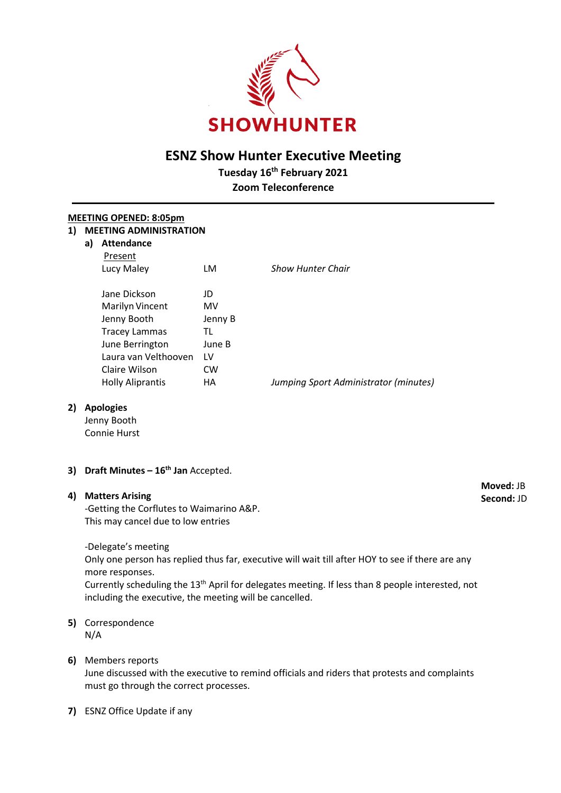

# **ESNZ Show Hunter Executive Meeting**

**Tuesday 16th February 2021**

**Zoom Teleconference**

## **MEETING OPENED: 8:05pm 1) MEETING ADMINISTRATION**

| a) | <b>Attendance</b><br>Present |           |                                       |
|----|------------------------------|-----------|---------------------------------------|
|    | Lucy Maley                   | LM        | <b>Show Hunter Chair</b>              |
|    | Jane Dickson                 | JD        |                                       |
|    | <b>Marilyn Vincent</b>       | MV        |                                       |
|    | Jenny Booth                  | Jenny B   |                                       |
|    | <b>Tracey Lammas</b>         | TL        |                                       |
|    | June Berrington              | June B    |                                       |
|    | Laura van Velthooven         | 1V        |                                       |
|    | Claire Wilson                | <b>CW</b> |                                       |
|    | <b>Holly Aliprantis</b>      | HА        | Jumping Sport Administrator (minutes) |
|    |                              |           |                                       |

# **2) Apologies**

Jenny Booth Connie Hurst

**3) Draft Minutes – 16th Jan** Accepted.

#### **4) Matters Arising**

-Getting the Corflutes to Waimarino A&P. This may cancel due to low entries

-Delegate's meeting

Only one person has replied thus far, executive will wait till after HOY to see if there are any more responses.

Currently scheduling the 13<sup>th</sup> April for delegates meeting. If less than 8 people interested, not including the executive, the meeting will be cancelled.

#### **5)** Correspondence N/A

# **6)** Members reports

June discussed with the executive to remind officials and riders that protests and complaints must go through the correct processes.

# **7)** ESNZ Office Update if any

**Moved:** JB **Second:** JD